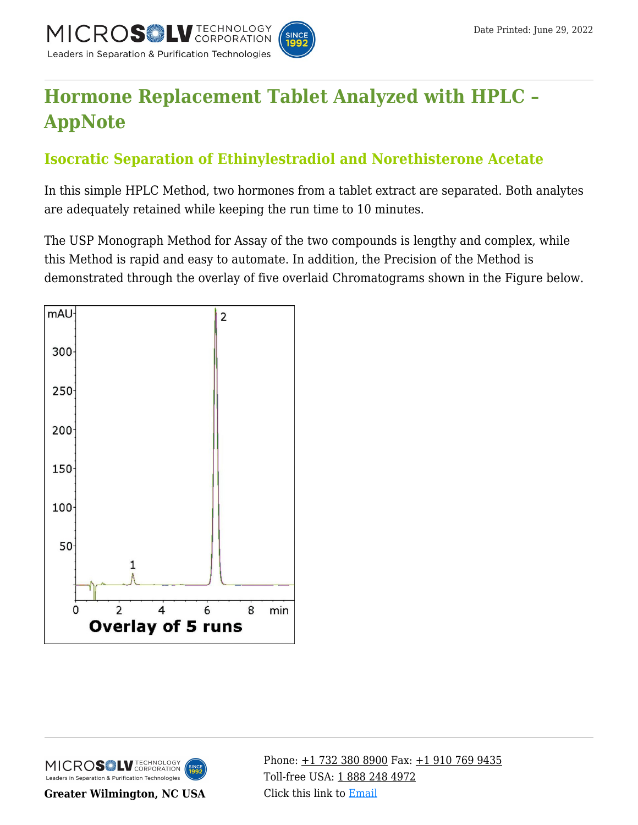

# **[Hormone Replacement Tablet Analyzed with HPLC –](https://kb.mtc-usa.com/article/aa-00911/46/) [AppNote](https://kb.mtc-usa.com/article/aa-00911/46/)**

## **Isocratic Separation of Ethinylestradiol and Norethisterone Acetate**

In this simple HPLC Method, two hormones from a tablet extract are separated. Both analytes are adequately retained while keeping the run time to 10 minutes.

The USP Monograph Method for Assay of the two compounds is lengthy and complex, while this Method is rapid and easy to automate. In addition, the Precision of the Method is demonstrated through the overlay of five overlaid Chromatograms shown in the Figure below.





**Greater Wilmington, NC USA**

Phone:  $\pm$ 1 732 380 8900 Fax:  $\pm$ 1 910 769 9435 Toll-free USA: [1 888 248 4972](#page--1-0) Click this link to [Email](https://www.mtc-usa.com/contact)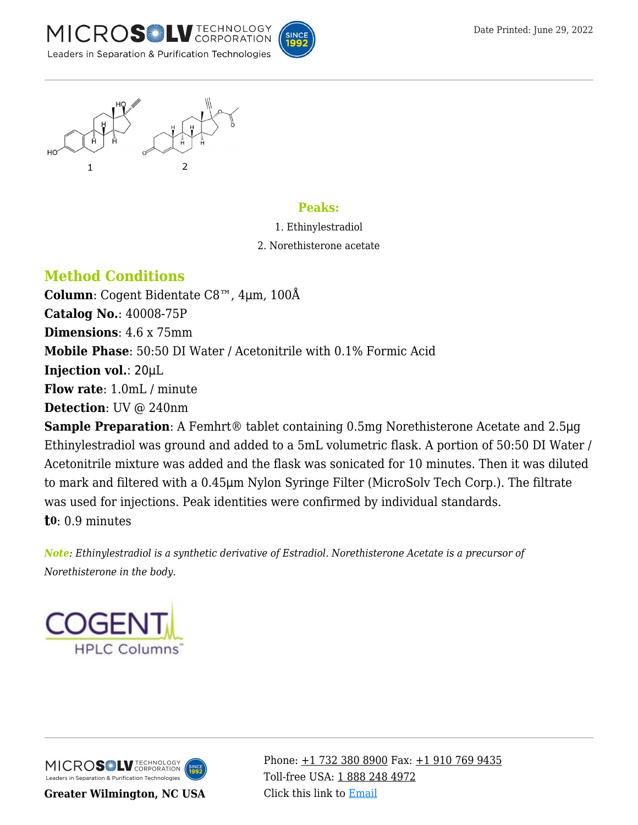





#### **Peaks:**

- 1. Ethinylestradiol
- 2. Norethisterone acetate

### **Method Conditions**

**Column**: Cogent Bidentate C8™, 4μm, 100Å **Catalog No.**: 40008-75P **Dimensions**: 4.6 x 75mm **Mobile Phase**: 50:50 DI Water / Acetonitrile with 0.1% Formic Acid **Injection vol.**: 20μL **Flow rate**: 1.0mL / minute **Detection**: UV @ 240nm

**Sample Preparation**: A Femhrt® tablet containing 0.5mg Norethisterone Acetate and 2.5μg Ethinylestradiol was ground and added to a 5mL volumetric flask. A portion of 50:50 DI Water / Acetonitrile mixture was added and the flask was sonicated for 10 minutes. Then it was diluted to mark and filtered with a 0.45μm Nylon Syringe Filter (MicroSolv Tech Corp.). The filtrate was used for injections. Peak identities were confirmed by individual standards. **t0**: 0.9 minutes

*Note: Ethinylestradiol is a synthetic derivative of Estradiol. Norethisterone Acetate is a precursor of Norethisterone in the body.*



MICROS LU TECHNOLOGY Leaders in Separation & Purification Technologies

**Greater Wilmington, NC USA**

Phone:  $\pm$ 1 732 380 8900 Fax:  $\pm$ 1 910 769 9435 Toll-free USA: [1 888 248 4972](#page--1-0) Click this link to [Email](https://www.mtc-usa.com/contact)